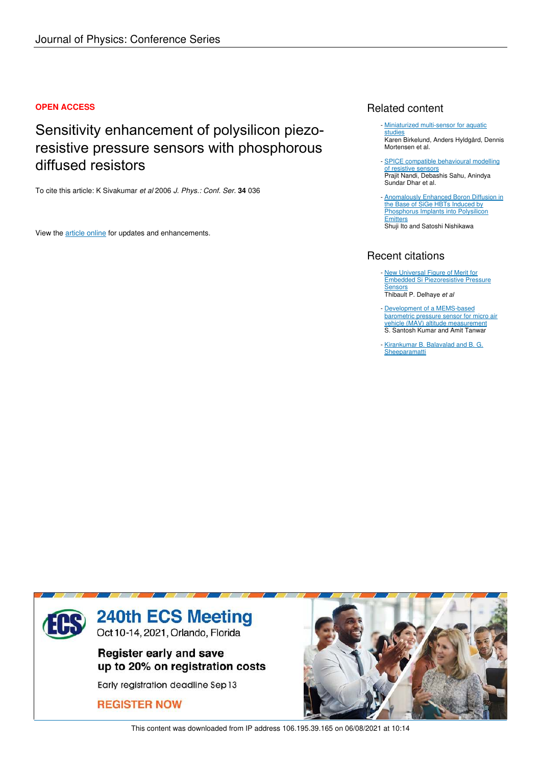### **OPEN ACCESS**

# Sensitivity enhancement of polysilicon piezoresistive pressure sensors with phosphorous diffused resistors

To cite this article: K Sivakumar *et al* 2006 *J. Phys.: Conf. Ser.* **34** 036

View the article online for updates and enhancements.

## Related content

- Miniaturized multi-sensor for aquatic studies Karen Birkelund, Anders Hyldgård, Dennis Mortensen et al.
- **SPICE compatible behavioural modelling** of resistive sensors Prajit Nandi, Debashis Sahu, Anindya Sundar Dhar et al.
- **Anomalously Enhanced Boron Diffusion in** the Base of SiGe HBTs Induced by Phosphorus Implants into Polysilicon **Emitters** Shuji Ito and Satoshi Nishikawa

## Recent citations

- New Universal Figure of Merit for Embedded Si Piezoresistive Pressure Sensors Thibault P. Delhaye *et al*
- Development of a MEMS-based barometric pressure sensor for micro air vehicle (MAV) altitude measurement S. Santosh Kumar and Amit Tanwar -
- Kirankumar B. Balavalad and B. G. **Sheeparamatti**



This content was downloaded from IP address 106.195.39.165 on 06/08/2021 at 10:14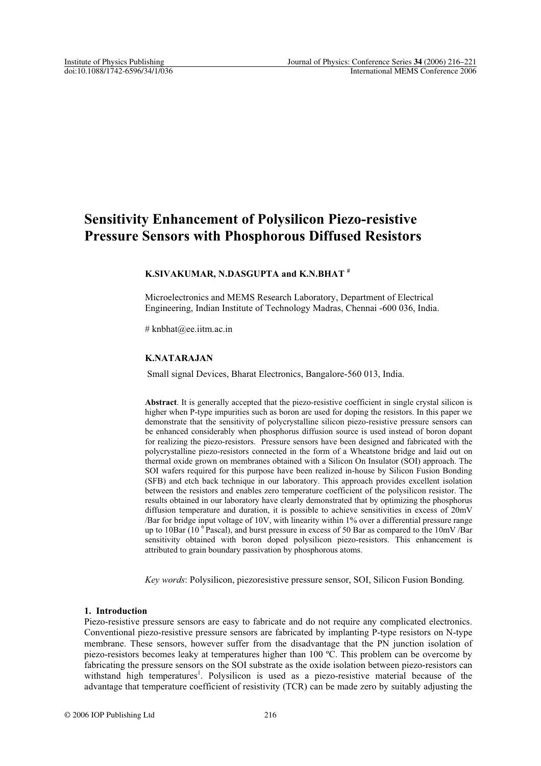## **Sensitivity Enhancement of Polysilicon Piezo-resistive Pressure Sensors with Phosphorous Diffused Resistors**

#### **K.SIVAKUMAR, N.DASGUPTA and K.N.BHAT #**

Microelectronics and MEMS Research Laboratory, Department of Electrical Engineering, Indian Institute of Technology Madras, Chennai -600 036, India.

# knbhat@ee.iitm.ac.in

#### **K.NATARAJAN**

Small signal Devices, Bharat Electronics, Bangalore-560 013, India.

**Abstract**. It is generally accepted that the piezo-resistive coefficient in single crystal silicon is higher when P-type impurities such as boron are used for doping the resistors. In this paper we demonstrate that the sensitivity of polycrystalline silicon piezo-resistive pressure sensors can be enhanced considerably when phosphorus diffusion source is used instead of boron dopant for realizing the piezo-resistors. Pressure sensors have been designed and fabricated with the polycrystalline piezo-resistors connected in the form of a Wheatstone bridge and laid out on thermal oxide grown on membranes obtained with a Silicon On Insulator (SOI) approach. The SOI wafers required for this purpose have been realized in-house by Silicon Fusion Bonding (SFB) and etch back technique in our laboratory. This approach provides excellent isolation between the resistors and enables zero temperature coefficient of the polysilicon resistor. The results obtained in our laboratory have clearly demonstrated that by optimizing the phosphorus diffusion temperature and duration, it is possible to achieve sensitivities in excess of 20mV /Bar for bridge input voltage of 10V, with linearity within 1% over a differential pressure range up to 10Bar (10<sup>6</sup> Pascal), and burst pressure in excess of 50 Bar as compared to the 10mV/Bar sensitivity obtained with boron doped polysilicon piezo-resistors. This enhancement is attributed to grain boundary passivation by phosphorous atoms.

*Key words*: Polysilicon, piezoresistive pressure sensor, SOI, Silicon Fusion Bonding*.*

#### **1. Introduction**

Piezo-resistive pressure sensors are easy to fabricate and do not require any complicated electronics. Conventional piezo-resistive pressure sensors are fabricated by implanting P-type resistors on N-type membrane. These sensors, however suffer from the disadvantage that the PN junction isolation of piezo-resistors becomes leaky at temperatures higher than 100 ºC. This problem can be overcome by fabricating the pressure sensors on the SOI substrate as the oxide isolation between piezo-resistors can withstand high temperatures<sup>1</sup>. Polysilicon is used as a piezo-resistive material because of the advantage that temperature coefficient of resistivity (TCR) can be made zero by suitably adjusting the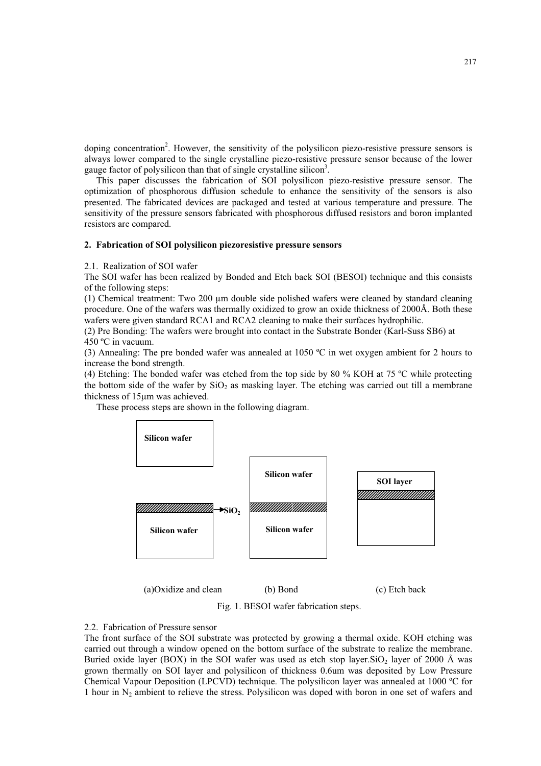doping concentration<sup>2</sup>. However, the sensitivity of the polysilicon piezo-resistive pressure sensors is always lower compared to the single crystalline piezo-resistive pressure sensor because of the lower gauge factor of polysilicon than that of single crystalline silicon<sup>3</sup>.

This paper discusses the fabrication of SOI polysilicon piezo-resistive pressure sensor. The optimization of phosphorous diffusion schedule to enhance the sensitivity of the sensors is also presented. The fabricated devices are packaged and tested at various temperature and pressure. The sensitivity of the pressure sensors fabricated with phosphorous diffused resistors and boron implanted resistors are compared.

#### **2. Fabrication of SOI polysilicon piezoresistive pressure sensors**

2.1. Realization of SOI wafer

The SOI wafer has been realized by Bonded and Etch back SOI (BESOI) technique and this consists of the following steps:

(1) Chemical treatment: Two 200 µm double side polished wafers were cleaned by standard cleaning procedure. One of the wafers was thermally oxidized to grow an oxide thickness of 2000Å. Both these wafers were given standard RCA1 and RCA2 cleaning to make their surfaces hydrophilic.

(2) Pre Bonding: The wafers were brought into contact in the Substrate Bonder (Karl-Suss SB6) at 450 ºC in vacuum.

(3) Annealing: The pre bonded wafer was annealed at 1050 ºC in wet oxygen ambient for 2 hours to increase the bond strength.

(4) Etching: The bonded wafer was etched from the top side by 80 % KOH at 75 ºC while protecting the bottom side of the wafer by  $SiO<sub>2</sub>$  as masking layer. The etching was carried out till a membrane thickness of 15um was achieved.

These process steps are shown in the following diagram.



(a)Oxidize and clean (b) Bond (c) Etch back

Fig. 1. BESOI wafer fabrication steps.

#### 2.2. Fabrication of Pressure sensor

The front surface of the SOI substrate was protected by growing a thermal oxide. KOH etching was carried out through a window opened on the bottom surface of the substrate to realize the membrane. Buried oxide layer (BOX) in the SOI wafer was used as etch stop layer. SiO<sub>2</sub> layer of 2000 Å was grown thermally on SOI layer and polysilicon of thickness 0.6um was deposited by Low Pressure Chemical Vapour Deposition (LPCVD) technique. The polysilicon layer was annealed at 1000 ºC for 1 hour in  $N_2$  ambient to relieve the stress. Polysilicon was doped with boron in one set of wafers and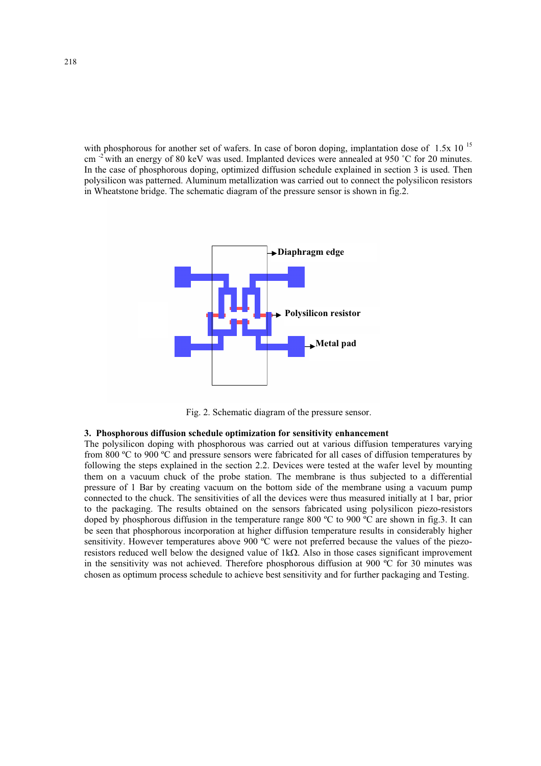with phosphorous for another set of wafers. In case of boron doping, implantation dose of  $1.5x \times 10^{-15}$ cm <sup>-2</sup> with an energy of 80 keV was used. Implanted devices were annealed at 950 °C for 20 minutes. In the case of phosphorous doping, optimized diffusion schedule explained in section 3 is used. Then polysilicon was patterned. Aluminum metallization was carried out to connect the polysilicon resistors in Wheatstone bridge. The schematic diagram of the pressure sensor is shown in fig.2.



Fig. 2. Schematic diagram of the pressure sensor.

#### **3. Phosphorous diffusion schedule optimization for sensitivity enhancement**

The polysilicon doping with phosphorous was carried out at various diffusion temperatures varying from 800 ºC to 900 ºC and pressure sensors were fabricated for all cases of diffusion temperatures by following the steps explained in the section 2.2. Devices were tested at the wafer level by mounting them on a vacuum chuck of the probe station. The membrane is thus subjected to a differential pressure of 1 Bar by creating vacuum on the bottom side of the membrane using a vacuum pump connected to the chuck. The sensitivities of all the devices were thus measured initially at 1 bar, prior to the packaging. The results obtained on the sensors fabricated using polysilicon piezo-resistors doped by phosphorous diffusion in the temperature range 800 °C to 900 °C are shown in fig.3. It can be seen that phosphorous incorporation at higher diffusion temperature results in considerably higher sensitivity. However temperatures above 900 °C were not preferred because the values of the piezoresistors reduced well below the designed value of  $1k\Omega$ . Also in those cases significant improvement in the sensitivity was not achieved. Therefore phosphorous diffusion at 900 ºC for 30 minutes was chosen as optimum process schedule to achieve best sensitivity and for further packaging and Testing.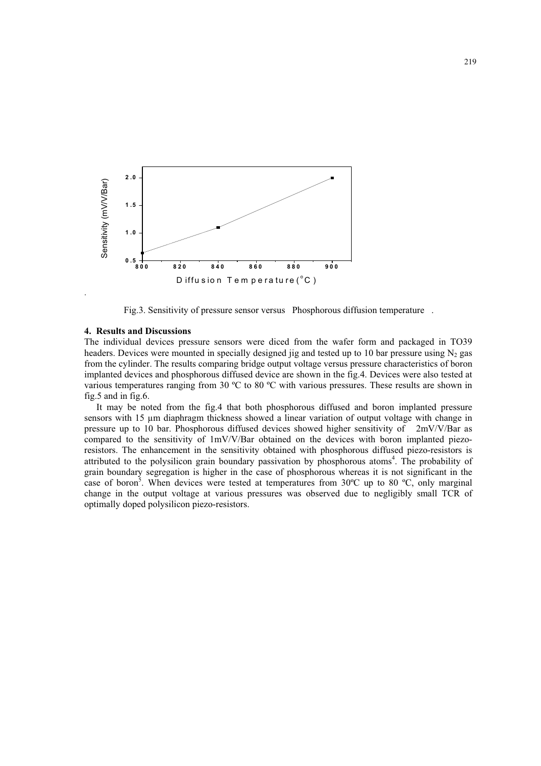

Fig.3. Sensitivity of pressure sensor versus Phosphorous diffusion temperature .

#### **4. Results and Discussions**

The individual devices pressure sensors were diced from the wafer form and packaged in TO39 headers. Devices were mounted in specially designed jig and tested up to 10 bar pressure using  $N_2$  gas from the cylinder. The results comparing bridge output voltage versus pressure characteristics of boron implanted devices and phosphorous diffused device are shown in the fig.4. Devices were also tested at various temperatures ranging from 30  $^{\circ}$ C to 80  $^{\circ}$ C with various pressures. These results are shown in fig.5 and in fig.6.

It may be noted from the fig.4 that both phosphorous diffused and boron implanted pressure sensors with 15  $\mu$ m diaphragm thickness showed a linear variation of output voltage with change in pressure up to 10 bar. Phosphorous diffused devices showed higher sensitivity of 2mV/V/Bar as compared to the sensitivity of 1mV/V/Bar obtained on the devices with boron implanted piezoresistors. The enhancement in the sensitivity obtained with phosphorous diffused piezo-resistors is attributed to the polysilicon grain boundary passivation by phosphorous atoms<sup>4</sup>. The probability of grain boundary segregation is higher in the case of phosphorous whereas it is not significant in the case of boron<sup>5</sup>. When devices were tested at temperatures from 30°C up to 80 °C, only marginal change in the output voltage at various pressures was observed due to negligibly small TCR of optimally doped polysilicon piezo-resistors.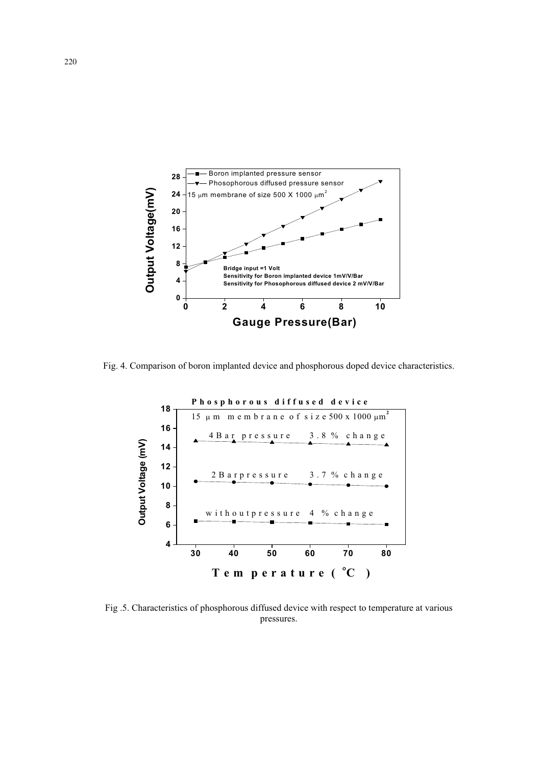

Fig. 4. Comparison of boron implanted device and phosphorous doped device characteristics.



Fig .5. Characteristics of phosphorous diffused device with respect to temperature at various pressures.